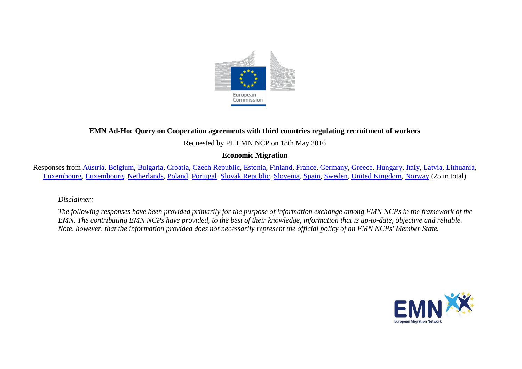

# **EMN Ad-Hoc Query on Cooperation agreements with third countries regulating recruitment of workers**

Requested by PL EMN NCP on 18th May 2016

# **Economic Migration**

Responses from [Austria,](#page-1-0) [Belgium,](#page-2-0) [Bulgaria,](#page-4-0) [Croatia,](#page-5-0) [Czech Republic,](#page-5-1) [Estonia,](#page-5-2) [Finland,](#page-6-0) [France,](#page-6-1) [Germany,](#page-7-0) [Greece,](#page-8-0) [Hungary,](#page-9-0) [Italy,](#page-9-1) [Latvia,](#page-10-0) [Lithuania,](#page-10-1) [Luxembourg,](#page-10-1) [Luxembourg,](#page-11-0) [Netherlands,](#page-11-1) [Poland,](#page-12-0) [Portugal,](#page-13-0) [Slovak Republic,](#page-13-1) [Slovenia,](#page-14-0) [Spain,](#page-14-1) [Sweden,](#page-16-0) [United Kingdom,](#page-16-1) [Norway](#page-18-0) (25 in total)

*Disclaimer:* 

*The following responses have been provided primarily for the purpose of information exchange among EMN NCPs in the framework of the EMN. The contributing EMN NCPs have provided, to the best of their knowledge, information that is up-to-date, objective and reliable. Note, however, that the information provided does not necessarily represent the official policy of an EMN NCPs' Member State.*

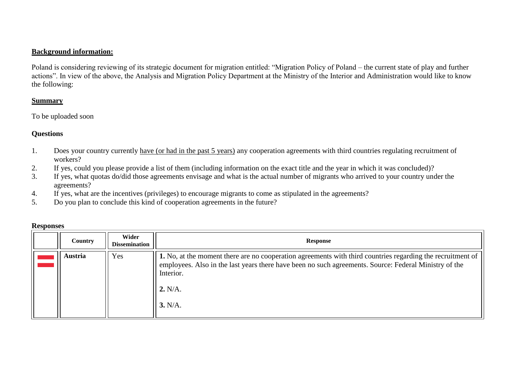### **Background information:**

Poland is considering reviewing of its strategic document for migration entitled: "Migration Policy of Poland – the current state of play and further actions". In view of the above, the Analysis and Migration Policy Department at the Ministry of the Interior and Administration would like to know the following:

### **Summary**

To be uploaded soon

### **Questions**

- 1. Does your country currently have (or had in the past 5 years) any cooperation agreements with third countries regulating recruitment of workers?
- 2. If yes, could you please provide a list of them (including information on the exact title and the year in which it was concluded)?
- 3. If yes, what quotas do/did those agreements envisage and what is the actual number of migrants who arrived to your country under the agreements?
- 4. If yes, what are the incentives (privileges) to encourage migrants to come as stipulated in the agreements?
- 5. Do you plan to conclude this kind of cooperation agreements in the future?

<span id="page-1-0"></span>

| Country | Wider<br><b>Dissemination</b> | <b>Response</b>                                                                                                                                                                                                                                        |
|---------|-------------------------------|--------------------------------------------------------------------------------------------------------------------------------------------------------------------------------------------------------------------------------------------------------|
| Austria | Yes                           | 1. No, at the moment there are no cooperation agreements with third countries regarding the recruitment of<br>employees. Also in the last years there have been no such agreements. Source: Federal Ministry of the<br>Interior.<br>2. N/A.<br>3. N/A. |

#### **Responses**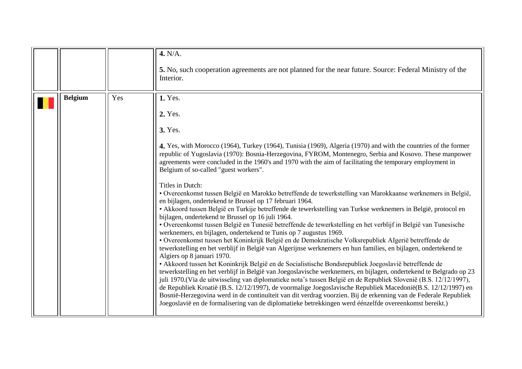<span id="page-2-0"></span>

|                |     | 4. N/A.<br>5. No, such cooperation agreements are not planned for the near future. Source: Federal Ministry of the<br>Interior.                                                                                                                                                                                                                                                                                                                                                                                                                                                                                                                                                                                                                                                                                                                                                                                                                                                                                                                                                                                                                                                                                                                                                                                                                                                                                                                                                                                                                                                                                                                                                                                                                                                                                                                                                                                                                 |
|----------------|-----|-------------------------------------------------------------------------------------------------------------------------------------------------------------------------------------------------------------------------------------------------------------------------------------------------------------------------------------------------------------------------------------------------------------------------------------------------------------------------------------------------------------------------------------------------------------------------------------------------------------------------------------------------------------------------------------------------------------------------------------------------------------------------------------------------------------------------------------------------------------------------------------------------------------------------------------------------------------------------------------------------------------------------------------------------------------------------------------------------------------------------------------------------------------------------------------------------------------------------------------------------------------------------------------------------------------------------------------------------------------------------------------------------------------------------------------------------------------------------------------------------------------------------------------------------------------------------------------------------------------------------------------------------------------------------------------------------------------------------------------------------------------------------------------------------------------------------------------------------------------------------------------------------------------------------------------------------|
| <b>Belgium</b> | Yes | 1. Yes.<br>2. Yes.<br><b>3. Yes.</b><br>4. Yes, with Morocco (1964), Turkey (1964), Tunisia (1969), Algeria (1970) and with the countries of the former<br>republic of Yugoslavia (1970): Bosnia-Herzegovina, FYROM, Montenegro, Serbia and Kosovo. These manpower<br>agreements were concluded in the 1960's and 1970 with the aim of facilitating the temporary employment in<br>Belgium of so-called "guest workers".<br>Titles in Dutch:<br>· Overeenkomst tussen België en Marokko betreffende de tewerkstelling van Marokkaanse werknemers in België,<br>en bijlagen, ondertekend te Brussel op 17 februari 1964.<br>• Akkoord tussen België en Turkije betreffende de tewerkstelling van Turkse werknemers in België, protocol en<br>bijlagen, ondertekend te Brussel op 16 juli 1964.<br>· Overeenkomst tussen België en Tunesië betreffende de tewerkstelling en het verblijf in België van Tunesische<br>werknemers, en bijlagen, ondertekend te Tunis op 7 augustus 1969.<br>· Overeenkomst tussen het Koninkrijk België en de Demokratische Volksrepubliek AIgerië betreffende de<br>tewerkstelling en het verblijf in België van Algerijnse werknemers en hun families, en bijlagen, ondertekend te<br>Algiers op 8 januari 1970.<br>• Akkoord tussen het Koninkrijk België en de Socialistische Bondsrepubliek Joegoslavië betreffende de<br>tewerkstelling en het verblijf in België van Joegoslavische werknemers, en bijlagen, ondertekend te Belgrado op 23<br>juli 1970. (Via de uitwisseling van diplomatieke nota's tussen België en de Republiek Slovenië (B.S. 12/12/1997),<br>de Republiek Kroatië (B.S. 12/12/1997), de voormalige Joegoslavische Republiek Macedonië(B.S. 12/12/1997) en<br>Bosnië-Herzegovina werd in de continuïteit van dit verdrag voorzien. Bij de erkenning van de Federale Republiek<br>Joegoslavië en de formalisering van de diplomatieke betrekkingen werd éénzelfde overeenkomst bereikt.) |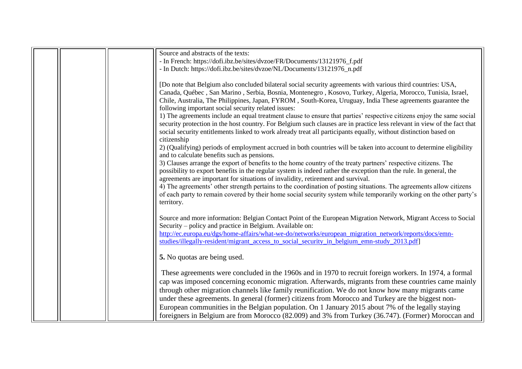|  | Source and abstracts of the texts:                                                                                       |
|--|--------------------------------------------------------------------------------------------------------------------------|
|  | - In French: https://dofi.ibz.be/sites/dvzoe/FR/Documents/13121976_f.pdf                                                 |
|  | - In Dutch: https://dofi.ibz.be/sites/dvzoe/NL/Documents/13121976_n.pdf                                                  |
|  |                                                                                                                          |
|  | [Do note that Belgium also concluded bilateral social security agreements with various third countries: USA,             |
|  | Canada, Québec, San Marino, Serbia, Bosnia, Montenegro, Kosovo, Turkey, Algeria, Morocco, Tunisia, Israel,               |
|  | Chile, Australia, The Philippines, Japan, FYROM, South-Korea, Uruguay, India These agreements guarantee the              |
|  | following important social security related issues:                                                                      |
|  | 1) The agreements include an equal treatment clause to ensure that parties' respective citizens enjoy the same social    |
|  | security protection in the host country. For Belgium such clauses are in practice less relevant in view of the fact that |
|  | social security entitlements linked to work already treat all participants equally, without distinction based on         |
|  | citizenship                                                                                                              |
|  | 2) (Qualifying) periods of employment accrued in both countries will be taken into account to determine eligibility      |
|  | and to calculate benefits such as pensions.                                                                              |
|  | 3) Clauses arrange the export of benefits to the home country of the treaty partners' respective citizens. The           |
|  | possibility to export benefits in the regular system is indeed rather the exception than the rule. In general, the       |
|  | agreements are important for situations of invalidity, retirement and survival.                                          |
|  | 4) The agreements' other strength pertains to the coordination of posting situations. The agreements allow citizens      |
|  | of each party to remain covered by their home social security system while temporarily working on the other party's      |
|  | territory.                                                                                                               |
|  |                                                                                                                          |
|  | Source and more information: Belgian Contact Point of the European Migration Network, Migrant Access to Social           |
|  | Security – policy and practice in Belgium. Available on:                                                                 |
|  | http://ec.europa.eu/dgs/home-affairs/what-we-do/networks/european_migration_network/reports/docs/emn-                    |
|  | studies/illegally-resident/migrant_access_to_social_security_in_belgium_emn-study_2013.pdf                               |
|  |                                                                                                                          |
|  | 5. No quotas are being used.                                                                                             |
|  |                                                                                                                          |
|  | These agreements were concluded in the 1960s and in 1970 to recruit foreign workers. In 1974, a formal                   |
|  | cap was imposed concerning economic migration. Afterwards, migrants from these countries came mainly                     |
|  | through other migration channels like family reunification. We do not know how many migrants came                        |
|  | under these agreements. In general (former) citizens from Morocco and Turkey are the biggest non-                        |
|  | European communities in the Belgian population. On 1 January 2015 about 7% of the legally staying                        |
|  |                                                                                                                          |
|  | foreigners in Belgium are from Morocco (82.009) and 3% from Turkey (36.747). (Former) Moroccan and                       |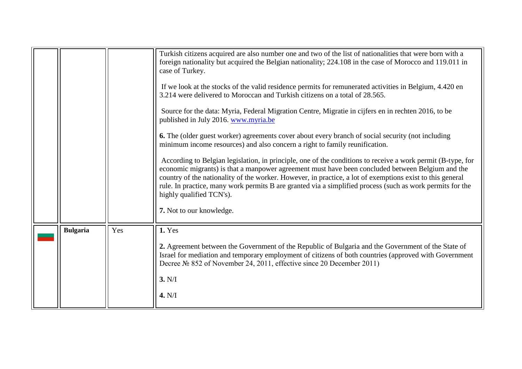<span id="page-4-0"></span>

|                 |     | Turkish citizens acquired are also number one and two of the list of nationalities that were born with a<br>foreign nationality but acquired the Belgian nationality; 224.108 in the case of Morocco and 119.011 in<br>case of Turkey.<br>If we look at the stocks of the valid residence permits for remunerated activities in Belgium, 4.420 en<br>3.214 were delivered to Moroccan and Turkish citizens on a total of 28.565.<br>Source for the data: Myria, Federal Migration Centre, Migratie in cijfers en in rechten 2016, to be<br>published in July 2016. www.myria.be<br>6. The (older guest worker) agreements cover about every branch of social security (not including<br>minimum income resources) and also concern a right to family reunification.<br>According to Belgian legislation, in principle, one of the conditions to receive a work permit (B-type, for<br>economic migrants) is that a manpower agreement must have been concluded between Belgium and the<br>country of the nationality of the worker. However, in practice, a lot of exemptions exist to this general<br>rule. In practice, many work permits B are granted via a simplified process (such as work permits for the<br>highly qualified TCN's).<br>7. Not to our knowledge. |
|-----------------|-----|--------------------------------------------------------------------------------------------------------------------------------------------------------------------------------------------------------------------------------------------------------------------------------------------------------------------------------------------------------------------------------------------------------------------------------------------------------------------------------------------------------------------------------------------------------------------------------------------------------------------------------------------------------------------------------------------------------------------------------------------------------------------------------------------------------------------------------------------------------------------------------------------------------------------------------------------------------------------------------------------------------------------------------------------------------------------------------------------------------------------------------------------------------------------------------------------------------------------------------------------------------------------------|
| <b>Bulgaria</b> | Yes | <b>1. Yes</b><br>2. Agreement between the Government of the Republic of Bulgaria and the Government of the State of<br>Israel for mediation and temporary employment of citizens of both countries (approved with Government<br>Decree № 852 of November 24, 2011, effective since 20 December 2011)<br>3. N/I<br>4. N/I                                                                                                                                                                                                                                                                                                                                                                                                                                                                                                                                                                                                                                                                                                                                                                                                                                                                                                                                                 |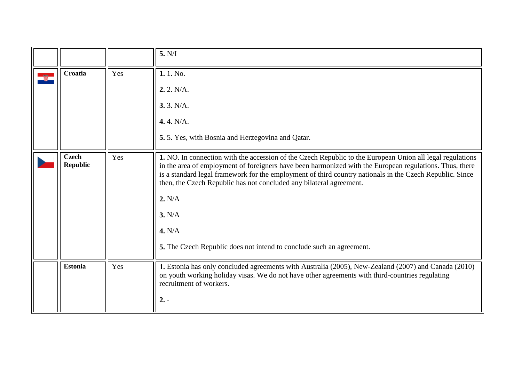<span id="page-5-2"></span><span id="page-5-1"></span><span id="page-5-0"></span>

|                                 |     | 5. N/I                                                                                                                                                                                                                                                                                                                                                                                                                                                                                                        |
|---------------------------------|-----|---------------------------------------------------------------------------------------------------------------------------------------------------------------------------------------------------------------------------------------------------------------------------------------------------------------------------------------------------------------------------------------------------------------------------------------------------------------------------------------------------------------|
| Croatia                         | Yes | 1.1. No.<br>2.2. N/A.<br>3.3. N/A.<br>4.4. N/A.<br>5.5. Yes, with Bosnia and Herzegovina and Qatar.                                                                                                                                                                                                                                                                                                                                                                                                           |
| <b>Czech</b><br><b>Republic</b> | Yes | 1. NO. In connection with the accession of the Czech Republic to the European Union all legal regulations<br>in the area of employment of foreigners have been harmonized with the European regulations. Thus, there<br>is a standard legal framework for the employment of third country nationals in the Czech Republic. Since<br>then, the Czech Republic has not concluded any bilateral agreement.<br>2. N/A<br>3. N/A<br>4. N/A<br>5. The Czech Republic does not intend to conclude such an agreement. |
| <b>Estonia</b>                  | Yes | 1. Estonia has only concluded agreements with Australia (2005), New-Zealand (2007) and Canada (2010)<br>on youth working holiday visas. We do not have other agreements with third-countries regulating<br>recruitment of workers.<br>$2. -$                                                                                                                                                                                                                                                                  |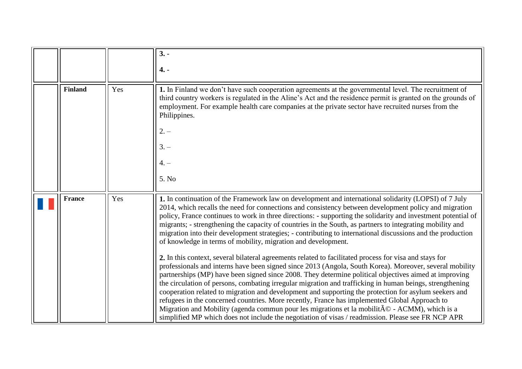<span id="page-6-1"></span><span id="page-6-0"></span>

|                |     | $3. -$                                                                                                                                                                                                                                                                                                                                                                                                                                                                                                                                                                                                                                                                                                                                                                                                                                                 |
|----------------|-----|--------------------------------------------------------------------------------------------------------------------------------------------------------------------------------------------------------------------------------------------------------------------------------------------------------------------------------------------------------------------------------------------------------------------------------------------------------------------------------------------------------------------------------------------------------------------------------------------------------------------------------------------------------------------------------------------------------------------------------------------------------------------------------------------------------------------------------------------------------|
|                |     |                                                                                                                                                                                                                                                                                                                                                                                                                                                                                                                                                                                                                                                                                                                                                                                                                                                        |
|                |     | $4. -$                                                                                                                                                                                                                                                                                                                                                                                                                                                                                                                                                                                                                                                                                                                                                                                                                                                 |
|                |     |                                                                                                                                                                                                                                                                                                                                                                                                                                                                                                                                                                                                                                                                                                                                                                                                                                                        |
| <b>Finland</b> | Yes | 1. In Finland we don't have such cooperation agreements at the governmental level. The recruitment of<br>third country workers is regulated in the Aline's Act and the residence permit is granted on the grounds of<br>employment. For example health care companies at the private sector have recruited nurses from the<br>Philippines.<br>$2. -$<br>$3. -$<br>$4. -$<br>5. No                                                                                                                                                                                                                                                                                                                                                                                                                                                                      |
|                |     |                                                                                                                                                                                                                                                                                                                                                                                                                                                                                                                                                                                                                                                                                                                                                                                                                                                        |
| <b>France</b>  | Yes | 1. In continuation of the Framework law on development and international solidarity (LOPSI) of 7 July<br>2014, which recalls the need for connections and consistency between development policy and migration<br>policy, France continues to work in three directions: - supporting the solidarity and investment potential of<br>migrants; - strengthening the capacity of countries in the South, as partners to integrating mobility and<br>migration into their development strategies; - contributing to international discussions and the production<br>of knowledge in terms of mobility, migration and development.                                                                                                                                                                                                                           |
|                |     | 2. In this context, several bilateral agreements related to facilitated process for visa and stays for<br>professionals and interns have been signed since 2013 (Angola, South Korea). Moreover, several mobility<br>partnerships (MP) have been signed since 2008. They determine political objectives aimed at improving<br>the circulation of persons, combating irregular migration and trafficking in human beings, strengthening<br>cooperation related to migration and development and supporting the protection for asylum seekers and<br>refugees in the concerned countries. More recently, France has implemented Global Approach to<br>Migration and Mobility (agenda commun pour les migrations et la mobilité - ACMM), which is a<br>simplified MP which does not include the negotiation of visas / readmission. Please see FR NCP APR |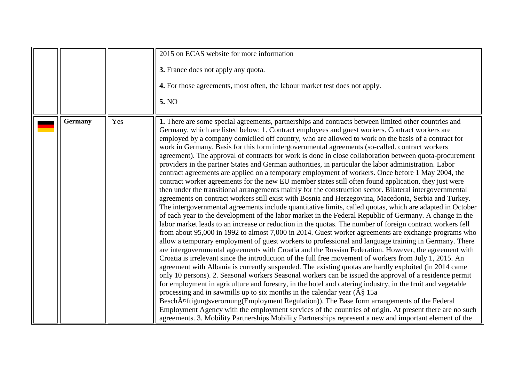<span id="page-7-0"></span>

|                |     | 2015 on ECAS website for more information                                                                                                                                                                                                                                                                                                                                                                                                                                                                                                                                                                                                                                                                                                                                                                                                                                                                                                                                                                                                                                                                                                                                                                                                                                                                                                                                                                                                                                                                                                                                                                                                                                                                                                                                                                                                                                                                                                                                                                                                                                                                                                                                                                                                                                                                                                                                                                                                                                                                                                                                                          |
|----------------|-----|----------------------------------------------------------------------------------------------------------------------------------------------------------------------------------------------------------------------------------------------------------------------------------------------------------------------------------------------------------------------------------------------------------------------------------------------------------------------------------------------------------------------------------------------------------------------------------------------------------------------------------------------------------------------------------------------------------------------------------------------------------------------------------------------------------------------------------------------------------------------------------------------------------------------------------------------------------------------------------------------------------------------------------------------------------------------------------------------------------------------------------------------------------------------------------------------------------------------------------------------------------------------------------------------------------------------------------------------------------------------------------------------------------------------------------------------------------------------------------------------------------------------------------------------------------------------------------------------------------------------------------------------------------------------------------------------------------------------------------------------------------------------------------------------------------------------------------------------------------------------------------------------------------------------------------------------------------------------------------------------------------------------------------------------------------------------------------------------------------------------------------------------------------------------------------------------------------------------------------------------------------------------------------------------------------------------------------------------------------------------------------------------------------------------------------------------------------------------------------------------------------------------------------------------------------------------------------------------------|
|                |     | 3. France does not apply any quota.<br>4. For those agreements, most often, the labour market test does not apply.                                                                                                                                                                                                                                                                                                                                                                                                                                                                                                                                                                                                                                                                                                                                                                                                                                                                                                                                                                                                                                                                                                                                                                                                                                                                                                                                                                                                                                                                                                                                                                                                                                                                                                                                                                                                                                                                                                                                                                                                                                                                                                                                                                                                                                                                                                                                                                                                                                                                                 |
|                |     | 5. NO                                                                                                                                                                                                                                                                                                                                                                                                                                                                                                                                                                                                                                                                                                                                                                                                                                                                                                                                                                                                                                                                                                                                                                                                                                                                                                                                                                                                                                                                                                                                                                                                                                                                                                                                                                                                                                                                                                                                                                                                                                                                                                                                                                                                                                                                                                                                                                                                                                                                                                                                                                                              |
| <b>Germany</b> | Yes | 1. There are some special agreements, partnerships and contracts between limited other countries and<br>Germany, which are listed below: 1. Contract employees and guest workers. Contract workers are<br>employed by a company domiciled off country, who are allowed to work on the basis of a contract for<br>work in Germany. Basis for this form intergovernmental agreements (so-called. contract workers<br>agreement). The approval of contracts for work is done in close collaboration between quota-procurement<br>providers in the partner States and German authorities, in particular the labor administration. Labor<br>contract agreements are applied on a temporary employment of workers. Once before 1 May 2004, the<br>contract worker agreements for the new EU member states still often found application, they just were<br>then under the transitional arrangements mainly for the construction sector. Bilateral intergovernmental<br>agreements on contract workers still exist with Bosnia and Herzegovina, Macedonia, Serbia and Turkey.<br>The intergovernmental agreements include quantitative limits, called quotas, which are adapted in October<br>of each year to the development of the labor market in the Federal Republic of Germany. A change in the<br>labor market leads to an increase or reduction in the quotas. The number of foreign contract workers fell<br>from about 95,000 in 1992 to almost 7,000 in 2014. Guest worker agreements are exchange programs who<br>allow a temporary employment of guest workers to professional and language training in Germany. There<br>are intergovernmental agreements with Croatia and the Russian Federation. However, the agreement with<br>Croatia is irrelevant since the introduction of the full free movement of workers from July 1, 2015. An<br>agreement with Albania is currently suspended. The existing quotas are hardly exploited (in 2014 came<br>only 10 persons). 2. Seasonal workers Seasonal workers can be issued the approval of a residence permit<br>for employment in agriculture and forestry, in the hotel and catering industry, in the fruit and vegetable<br>processing and in sawmills up to six months in the calendar year $(\hat{A}\hat{S})$ 15a<br>BeschA¤ftigungsverornung(Employment Regulation)). The Base form arrangements of the Federal<br>Employment Agency with the employment services of the countries of origin. At present there are no such<br>agreements. 3. Mobility Partnerships Mobility Partnerships represent a new and important element of the |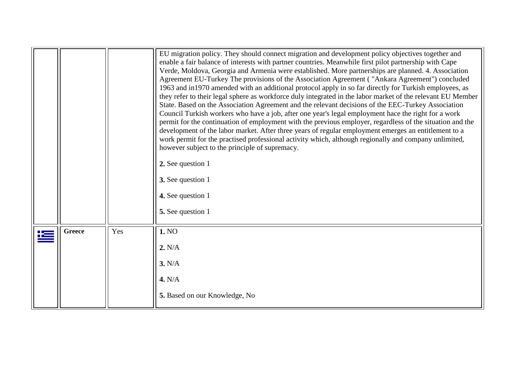<span id="page-8-0"></span>

|               |     | EU migration policy. They should connect migration and development policy objectives together and<br>enable a fair balance of interests with partner countries. Meanwhile first pilot partnership with Cape<br>Verde, Moldova, Georgia and Armenia were established. More partnerships are planned. 4. Association<br>Agreement EU-Turkey The provisions of the Association Agreement ("Ankara Agreement") concluded<br>1963 and in1970 amended with an additional protocol apply in so far directly for Turkish employees, as<br>they refer to their legal sphere as workforce duly integrated in the labor market of the relevant EU Member<br>State. Based on the Association Agreement and the relevant decisions of the EEC-Turkey Association<br>Council Turkish workers who have a job, after one year's legal employment hace the right for a work<br>permit for the continuation of employment with the previous employer, regardless of the situation and the<br>development of the labor market. After three years of regular employment emerges an entitlement to a<br>work permit for the practised professional activity which, although regionally and company unlimited,<br>however subject to the principle of supremacy.<br>2. See question 1<br>3. See question 1<br>4. See question 1<br>5. See question 1 |
|---------------|-----|--------------------------------------------------------------------------------------------------------------------------------------------------------------------------------------------------------------------------------------------------------------------------------------------------------------------------------------------------------------------------------------------------------------------------------------------------------------------------------------------------------------------------------------------------------------------------------------------------------------------------------------------------------------------------------------------------------------------------------------------------------------------------------------------------------------------------------------------------------------------------------------------------------------------------------------------------------------------------------------------------------------------------------------------------------------------------------------------------------------------------------------------------------------------------------------------------------------------------------------------------------------------------------------------------------------------------------|
| <b>Greece</b> | Yes | 1. NO<br>2. N/A<br>3. N/A<br>4. N/A<br>5. Based on our Knowledge, No                                                                                                                                                                                                                                                                                                                                                                                                                                                                                                                                                                                                                                                                                                                                                                                                                                                                                                                                                                                                                                                                                                                                                                                                                                                           |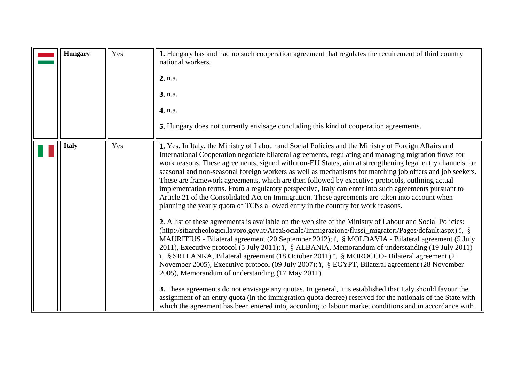<span id="page-9-1"></span><span id="page-9-0"></span>

| <b>Hungary</b> | Yes | 1. Hungary has and had no such cooperation agreement that regulates the recuirement of third country<br>national workers.<br>2. n.a.<br>3. n.a.<br>4. n.a.<br>5. Hungary does not currently envisage concluding this kind of cooperation agreements.                                                                                                                                                                                                                                                                                                                                                                                                                                                                                                                                                                                                                                                                                                                                                                                                                                                                                                                                                                                                                                                                                                                                                                                                                                                                                                                                                                                                                                                                                                                                                                                                                        |
|----------------|-----|-----------------------------------------------------------------------------------------------------------------------------------------------------------------------------------------------------------------------------------------------------------------------------------------------------------------------------------------------------------------------------------------------------------------------------------------------------------------------------------------------------------------------------------------------------------------------------------------------------------------------------------------------------------------------------------------------------------------------------------------------------------------------------------------------------------------------------------------------------------------------------------------------------------------------------------------------------------------------------------------------------------------------------------------------------------------------------------------------------------------------------------------------------------------------------------------------------------------------------------------------------------------------------------------------------------------------------------------------------------------------------------------------------------------------------------------------------------------------------------------------------------------------------------------------------------------------------------------------------------------------------------------------------------------------------------------------------------------------------------------------------------------------------------------------------------------------------------------------------------------------------|
| <b>Italy</b>   | Yes | 1. Yes. In Italy, the Ministry of Labour and Social Policies and the Ministry of Foreign Affairs and<br>International Cooperation negotiate bilateral agreements, regulating and managing migration flows for<br>work reasons. These agreements, signed with non-EU States, aim at strengthening legal entry channels for<br>seasonal and non-seasonal foreign workers as well as mechanisms for matching job offers and job seekers.<br>These are framework agreements, which are then followed by executive protocols, outlining actual<br>implementation terms. From a regulatory perspective, Italy can enter into such agreements pursuant to<br>Article 21 of the Consolidated Act on Immigration. These agreements are taken into account when<br>planning the yearly quota of TCNs allowed entry in the country for work reasons.<br>2. A list of these agreements is available on the web site of the Ministry of Labour and Social Policies:<br>(http://sitiarcheologici.lavoro.gov.it/AreaSociale/Immigrazione/flussi_migratori/Pages/default.aspx) ï, §<br>MAURITIUS - Bilateral agreement (20 September 2012); ï, § MOLDAVIA - Bilateral agreement (5 July<br>2011), Executive protocol (5 July 2011); i, § ALBANIA, Memorandum of understanding (19 July 2011)<br>ï, § SRI LANKA, Bilateral agreement (18 October 2011) ï, § MOROCCO- Bilateral agreement (21<br>November 2005), Executive protocol (09 July 2007); i, § EGYPT, Bilateral agreement (28 November<br>2005), Memorandum of understanding (17 May 2011).<br>3. These agreements do not envisage any quotas. In general, it is established that Italy should favour the<br>assignment of an entry quota (in the immigration quota decree) reserved for the nationals of the State with<br>which the agreement has been entered into, according to labour market conditions and in accordance with |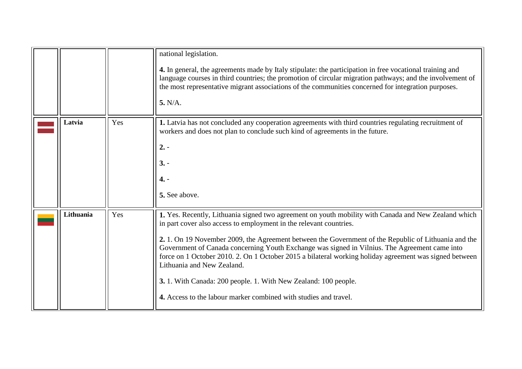<span id="page-10-1"></span><span id="page-10-0"></span>

|           |     | national legislation.<br>4. In general, the agreements made by Italy stipulate: the participation in free vocational training and<br>language courses in third countries; the promotion of circular migration pathways; and the involvement of<br>the most representative migrant associations of the communities concerned for integration purposes.<br>5. N/A.                                                                                                                                                                                                                                                                                                   |
|-----------|-----|--------------------------------------------------------------------------------------------------------------------------------------------------------------------------------------------------------------------------------------------------------------------------------------------------------------------------------------------------------------------------------------------------------------------------------------------------------------------------------------------------------------------------------------------------------------------------------------------------------------------------------------------------------------------|
| Latvia    | Yes | 1. Latvia has not concluded any cooperation agreements with third countries regulating recruitment of<br>workers and does not plan to conclude such kind of agreements in the future.<br>$2. -$<br>$3. -$<br>$4. -$<br>5. See above.                                                                                                                                                                                                                                                                                                                                                                                                                               |
| Lithuania | Yes | 1. Yes. Recently, Lithuania signed two agreement on youth mobility with Canada and New Zealand which<br>in part cover also access to employment in the relevant countries.<br>2. 1. On 19 November 2009, the Agreement between the Government of the Republic of Lithuania and the<br>Government of Canada concerning Youth Exchange was signed in Vilnius. The Agreement came into<br>force on 1 October 2010. 2. On 1 October 2015 a bilateral working holiday agreement was signed between<br>Lithuania and New Zealand.<br>3. 1. With Canada: 200 people. 1. With New Zealand: 100 people.<br>4. Access to the labour marker combined with studies and travel. |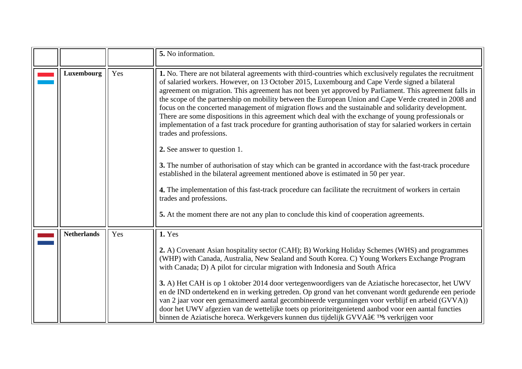<span id="page-11-1"></span><span id="page-11-0"></span>

|                    |     | 5. No information.                                                                                                                                                                                                                                                                                                                                                                                                                                                                                                                                                                                                                                                                                                                                                                                                                                                                                                                                                                                                                                                                                                                                                                                                                                              |
|--------------------|-----|-----------------------------------------------------------------------------------------------------------------------------------------------------------------------------------------------------------------------------------------------------------------------------------------------------------------------------------------------------------------------------------------------------------------------------------------------------------------------------------------------------------------------------------------------------------------------------------------------------------------------------------------------------------------------------------------------------------------------------------------------------------------------------------------------------------------------------------------------------------------------------------------------------------------------------------------------------------------------------------------------------------------------------------------------------------------------------------------------------------------------------------------------------------------------------------------------------------------------------------------------------------------|
| <b>Luxembourg</b>  | Yes | 1. No. There are not bilateral agreements with third-countries which exclusively regulates the recruitment<br>of salaried workers. However, on 13 October 2015, Luxembourg and Cape Verde signed a bilateral<br>agreement on migration. This agreement has not been yet approved by Parliament. This agreement falls in<br>the scope of the partnership on mobility between the European Union and Cape Verde created in 2008 and<br>focus on the concerted management of migration flows and the sustainable and solidarity development.<br>There are some dispositions in this agreement which deal with the exchange of young professionals or<br>implementation of a fast track procedure for granting authorisation of stay for salaried workers in certain<br>trades and professions.<br>2. See answer to question 1.<br>3. The number of authorisation of stay which can be granted in accordance with the fast-track procedure<br>established in the bilateral agreement mentioned above is estimated in 50 per year.<br>4. The implementation of this fast-track procedure can facilitate the recruitment of workers in certain<br>trades and professions.<br>5. At the moment there are not any plan to conclude this kind of cooperation agreements. |
| <b>Netherlands</b> | Yes | <b>1. Yes</b><br>2. A) Covenant Asian hospitality sector (CAH); B) Working Holiday Schemes (WHS) and programmes<br>(WHP) with Canada, Australia, New Sealand and South Korea. C) Young Workers Exchange Program<br>with Canada; D) A pilot for circular migration with Indonesia and South Africa<br>3. A) Het CAH is op 1 oktober 2014 door vertegenwoordigers van de Aziatische horecasector, het UWV<br>en de IND ondertekend en in werking getreden. Op grond van het convenant wordt gedurende een periode<br>van 2 jaar voor een gemaximeerd aantal gecombineerde vergunningen voor verblijf en arbeid (GVVA))<br>door het UWV afgezien van de wettelijke toets op prioriteitgenietend aanbod voor een aantal functies<br>binnen de Aziatische horeca. Werkgevers kunnen dus tijdelijk GVVA's verkrijgen voor                                                                                                                                                                                                                                                                                                                                                                                                                                             |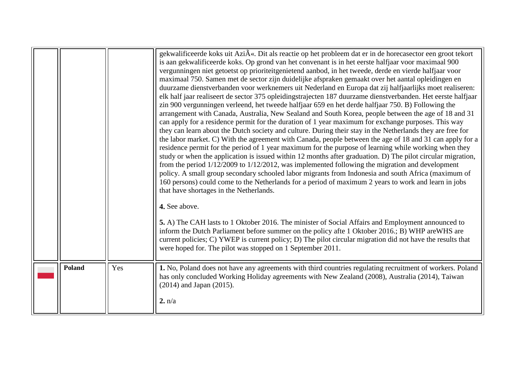<span id="page-12-0"></span>

|        |     | gekwalificeerde koks uit Azi«. Dit als reactie op het probleem dat er in de horecasector een groot tekort<br>is aan gekwalificeerde koks. Op grond van het convenant is in het eerste halfjaar voor maximaal 900<br>vergunningen niet getoetst op prioriteitgenietend aanbod, in het tweede, derde en vierde halfjaar voor<br>maximaal 750. Samen met de sector zijn duidelijke afspraken gemaakt over het aantal opleidingen en<br>duurzame dienstverbanden voor werknemers uit Nederland en Europa dat zij halfjaarlijks moet realiseren:<br>elk half jaar realiseert de sector 375 opleidingstrajecten 187 duurzame dienstverbanden. Het eerste halfjaar<br>zin 900 vergunningen verleend, het tweede halfjaar 659 en het derde halfjaar 750. B) Following the<br>arrangement with Canada, Australia, New Sealand and South Korea, people between the age of 18 and 31<br>can apply for a residence permit for the duration of 1 year maximum for exchange purposes. This way<br>they can learn about the Dutch society and culture. During their stay in the Netherlands they are free for<br>the labor market. C) With the agreement with Canada, people between the age of 18 and 31 can apply for a<br>residence permit for the period of 1 year maximum for the purpose of learning while working when they<br>study or when the application is issued within 12 months after graduation. D) The pilot circular migration,<br>from the period $1/12/2009$ to $1/12/2012$ , was implemented following the migration and development<br>policy. A small group secondary schooled labor migrants from Indonesia and south Africa (maximum of<br>160 persons) could come to the Netherlands for a period of maximum 2 years to work and learn in jobs<br>that have shortages in the Netherlands.<br>4. See above.<br>5. A) The CAH lasts to 1 Oktober 2016. The minister of Social Affairs and Employment announced to<br>inform the Dutch Parliament before summer on the policy afte 1 Oktober 2016.; B) WHP are WHS are<br>current policies; C) YWEP is current policy; D) The pilot circular migration did not have the results that<br>were hoped for. The pilot was stopped on 1 September 2011. |
|--------|-----|------------------------------------------------------------------------------------------------------------------------------------------------------------------------------------------------------------------------------------------------------------------------------------------------------------------------------------------------------------------------------------------------------------------------------------------------------------------------------------------------------------------------------------------------------------------------------------------------------------------------------------------------------------------------------------------------------------------------------------------------------------------------------------------------------------------------------------------------------------------------------------------------------------------------------------------------------------------------------------------------------------------------------------------------------------------------------------------------------------------------------------------------------------------------------------------------------------------------------------------------------------------------------------------------------------------------------------------------------------------------------------------------------------------------------------------------------------------------------------------------------------------------------------------------------------------------------------------------------------------------------------------------------------------------------------------------------------------------------------------------------------------------------------------------------------------------------------------------------------------------------------------------------------------------------------------------------------------------------------------------------------------------------------------------------------------------------------------------------------------------------------------------------------------------------------------------------------|
| Poland | Yes | 1. No, Poland does not have any agreements with third countries regulating recruitment of workers. Poland<br>has only concluded Working Holiday agreements with New Zealand (2008), Australia (2014), Taiwan<br>$(2014)$ and Japan $(2015)$ .<br>2. n/a                                                                                                                                                                                                                                                                                                                                                                                                                                                                                                                                                                                                                                                                                                                                                                                                                                                                                                                                                                                                                                                                                                                                                                                                                                                                                                                                                                                                                                                                                                                                                                                                                                                                                                                                                                                                                                                                                                                                                    |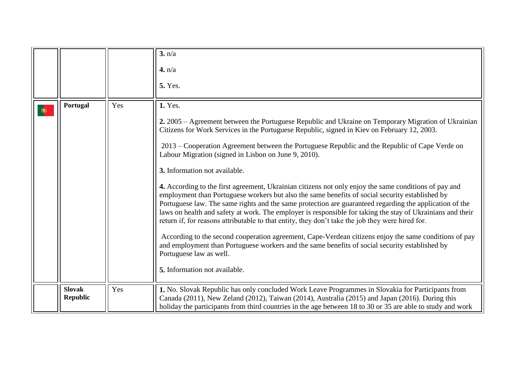<span id="page-13-1"></span><span id="page-13-0"></span>

|                                  |     | 3. n/a<br>4. n/a<br><b>5.</b> Yes.                                                                                                                                                                                                                                                                                                                                                                                                                                                                                                                                                                                                                                                                                                                                                                                                                                                                                                                                                                                                                                                                                                                                                                                              |
|----------------------------------|-----|---------------------------------------------------------------------------------------------------------------------------------------------------------------------------------------------------------------------------------------------------------------------------------------------------------------------------------------------------------------------------------------------------------------------------------------------------------------------------------------------------------------------------------------------------------------------------------------------------------------------------------------------------------------------------------------------------------------------------------------------------------------------------------------------------------------------------------------------------------------------------------------------------------------------------------------------------------------------------------------------------------------------------------------------------------------------------------------------------------------------------------------------------------------------------------------------------------------------------------|
| Portugal                         | Yes | <b>1.</b> Yes.<br>2. 2005 – Agreement between the Portuguese Republic and Ukraine on Temporary Migration of Ukrainian<br>Citizens for Work Services in the Portuguese Republic, signed in Kiev on February 12, 2003.<br>2013 – Cooperation Agreement between the Portuguese Republic and the Republic of Cape Verde on<br>Labour Migration (signed in Lisbon on June 9, 2010).<br>3. Information not available.<br>4. According to the first agreement, Ukrainian citizens not only enjoy the same conditions of pay and<br>employment than Portuguese workers but also the same benefits of social security established by<br>Portuguese law. The same rights and the same protection are guaranteed regarding the application of the<br>laws on health and safety at work. The employer is responsible for taking the stay of Ukrainians and their<br>return if, for reasons attributable to that entity, they don't take the job they were hired for.<br>According to the second cooperation agreement, Cape-Verdean citizens enjoy the same conditions of pay<br>and employment than Portuguese workers and the same benefits of social security established by<br>Portuguese law as well.<br>5. Information not available. |
| <b>Slovak</b><br><b>Republic</b> | Yes | 1. No. Slovak Republic has only concluded Work Leave Programmes in Slovakia for Participants from<br>Canada (2011), New Zeland (2012), Taiwan (2014), Australia (2015) and Japan (2016). During this<br>holiday the participants from third countries in the age between 18 to 30 or 35 are able to study and work                                                                                                                                                                                                                                                                                                                                                                                                                                                                                                                                                                                                                                                                                                                                                                                                                                                                                                              |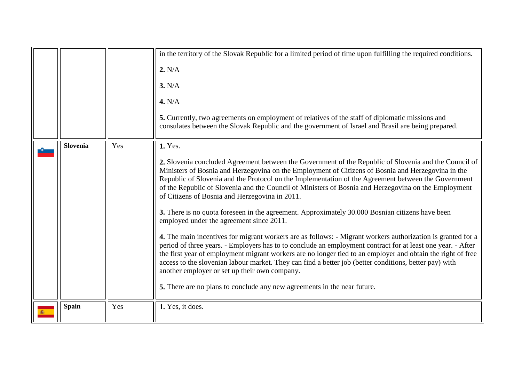<span id="page-14-1"></span><span id="page-14-0"></span>

|                 |     | in the territory of the Slovak Republic for a limited period of time upon fulfilling the required conditions.                                                                                                                                                                                                                                                                                                                                                                                        |
|-----------------|-----|------------------------------------------------------------------------------------------------------------------------------------------------------------------------------------------------------------------------------------------------------------------------------------------------------------------------------------------------------------------------------------------------------------------------------------------------------------------------------------------------------|
|                 |     | 2. N/A                                                                                                                                                                                                                                                                                                                                                                                                                                                                                               |
|                 |     | 3. N/A                                                                                                                                                                                                                                                                                                                                                                                                                                                                                               |
|                 |     | 4. N/A                                                                                                                                                                                                                                                                                                                                                                                                                                                                                               |
|                 |     | 5. Currently, two agreements on employment of relatives of the staff of diplomatic missions and<br>consulates between the Slovak Republic and the government of Israel and Brasil are being prepared.                                                                                                                                                                                                                                                                                                |
| <b>Slovenia</b> | Yes | <b>1.</b> Yes.                                                                                                                                                                                                                                                                                                                                                                                                                                                                                       |
|                 |     | 2. Slovenia concluded Agreement between the Government of the Republic of Slovenia and the Council of<br>Ministers of Bosnia and Herzegovina on the Employment of Citizens of Bosnia and Herzegovina in the<br>Republic of Slovenia and the Protocol on the Implementation of the Agreement between the Government<br>of the Republic of Slovenia and the Council of Ministers of Bosnia and Herzegovina on the Employment<br>of Citizens of Bosnia and Herzegovina in 2011.                         |
|                 |     | 3. There is no quota foreseen in the agreement. Approximately 30.000 Bosnian citizens have been<br>employed under the agreement since 2011.                                                                                                                                                                                                                                                                                                                                                          |
|                 |     | 4. The main incentives for migrant workers are as follows: - Migrant workers authorization is granted for a<br>period of three years. - Employers has to to conclude an employment contract for at least one year. - After<br>the first year of employment migrant workers are no longer tied to an employer and obtain the right of free<br>access to the slovenian labour market. They can find a better job (better conditions, better pay) with<br>another employer or set up their own company. |
|                 |     | 5. There are no plans to conclude any new agreements in the near future.                                                                                                                                                                                                                                                                                                                                                                                                                             |
| <b>Spain</b>    | Yes | 1. Yes, it does.                                                                                                                                                                                                                                                                                                                                                                                                                                                                                     |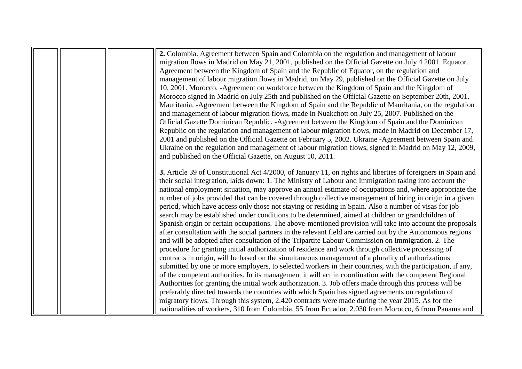|  | 2. Colombia. Agreement between Spain and Colombia on the regulation and management of labour                  |
|--|---------------------------------------------------------------------------------------------------------------|
|  | migration flows in Madrid on May 21, 2001, published on the Official Gazette on July 4 2001. Equator.         |
|  | Agreement between the Kingdom of Spain and the Republic of Equator, on the regulation and                     |
|  | management of labour migration flows in Madrid, on May 29, published on the Official Gazette on July          |
|  | 10. 2001. Morocco. -Agreement on workforce between the Kingdom of Spain and the Kingdom of                    |
|  | Morocco signed in Madrid on July 25th and published on the Official Gazette on September 20th, 2001.          |
|  | Mauritania. - Agreement between the Kingdom of Spain and the Republic of Mauritania, on the regulation        |
|  | and management of labour migration flows, made in Nuakchott on July 25, 2007. Published on the                |
|  | Official Gazette Dominican Republic. - Agreement between the Kingdom of Spain and the Dominican               |
|  | Republic on the regulation and management of labour migration flows, made in Madrid on December 17,           |
|  | 2001 and published on the Official Gazette on February 5, 2002. Ukraine -Agreement between Spain and          |
|  | Ukraine on the regulation and management of labour migration flows, signed in Madrid on May 12, 2009,         |
|  | and published on the Official Gazette, on August 10, 2011.                                                    |
|  |                                                                                                               |
|  | 3. Article 39 of Constitutional Act 4/2000, of January 11, on rights and liberties of foreigners in Spain and |
|  | their social integration, laids down: 1. The Ministry of Labour and Immigration taking into account the       |
|  | national employment situation, may approve an annual estimate of occupations and, where appropriate the       |
|  | number of jobs provided that can be covered through collective management of hiring in origin in a given      |
|  | period, which have access only those not staying or residing in Spain. Also a number of visas for job         |
|  | search may be established under conditions to be determined, aimed at children or grandchildren of            |
|  | Spanish origin or certain occupations. The above-mentioned provision will take into account the proposals     |
|  | after consultation with the social partners in the relevant field are carried out by the Autonomous regions   |
|  | and will be adopted after consultation of the Tripartite Labour Commission on Immigration. 2. The             |
|  | procedure for granting initial authorization of residence and work through collective processing of           |
|  | contracts in origin, will be based on the simultaneous management of a plurality of authorizations            |
|  | submitted by one or more employers, to selected workers in their countries, with the participation, if any,   |
|  | of the competent authorities. In its management it will act in coordination with the competent Regional       |
|  | Authorities for granting the initial work authorization. 3. Job offers made through this process will be      |
|  | preferably directed towards the countries with which Spain has signed agreements on regulation of             |
|  | migratory flows. Through this system, 2.420 contracts were made during the year 2015. As for the              |
|  | nationalities of workers, 310 from Colombia, 55 from Ecuador, 2.030 from Morocco, 6 from Panama and           |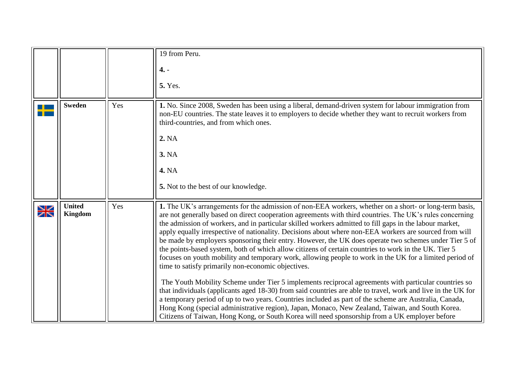<span id="page-16-1"></span><span id="page-16-0"></span>

|             |                                 |     | 19 from Peru.<br>$4. -$<br><b>5. Yes.</b>                                                                                                                                                                                                                                                                                                                                                                                                                                                                                                                                                                                                                                                                                                                                                                                                                                                                                                                                                                                                                                                                                                                                                                                                                                                                                                                       |
|-------------|---------------------------------|-----|-----------------------------------------------------------------------------------------------------------------------------------------------------------------------------------------------------------------------------------------------------------------------------------------------------------------------------------------------------------------------------------------------------------------------------------------------------------------------------------------------------------------------------------------------------------------------------------------------------------------------------------------------------------------------------------------------------------------------------------------------------------------------------------------------------------------------------------------------------------------------------------------------------------------------------------------------------------------------------------------------------------------------------------------------------------------------------------------------------------------------------------------------------------------------------------------------------------------------------------------------------------------------------------------------------------------------------------------------------------------|
|             | <b>Sweden</b>                   | Yes | 1. No. Since 2008, Sweden has been using a liberal, demand-driven system for labour immigration from<br>non-EU countries. The state leaves it to employers to decide whether they want to recruit workers from<br>third-countries, and from which ones.<br>2. NA<br><b>3. NA</b><br><b>4. NA</b><br>5. Not to the best of our knowledge.                                                                                                                                                                                                                                                                                                                                                                                                                                                                                                                                                                                                                                                                                                                                                                                                                                                                                                                                                                                                                        |
| $\geqslant$ | <b>United</b><br><b>Kingdom</b> | Yes | 1. The UK's arrangements for the admission of non-EEA workers, whether on a short- or long-term basis,<br>are not generally based on direct cooperation agreements with third countries. The UK's rules concerning<br>the admission of workers, and in particular skilled workers admitted to fill gaps in the labour market,<br>apply equally irrespective of nationality. Decisions about where non-EEA workers are sourced from will<br>be made by employers sponsoring their entry. However, the UK does operate two schemes under Tier 5 of<br>the points-based system, both of which allow citizens of certain countries to work in the UK. Tier 5<br>focuses on youth mobility and temporary work, allowing people to work in the UK for a limited period of<br>time to satisfy primarily non-economic objectives.<br>The Youth Mobility Scheme under Tier 5 implements reciprocal agreements with particular countries so<br>that individuals (applicants aged 18-30) from said countries are able to travel, work and live in the UK for<br>a temporary period of up to two years. Countries included as part of the scheme are Australia, Canada,<br>Hong Kong (special administrative region), Japan, Monaco, New Zealand, Taiwan, and South Korea.<br>Citizens of Taiwan, Hong Kong, or South Korea will need sponsorship from a UK employer before |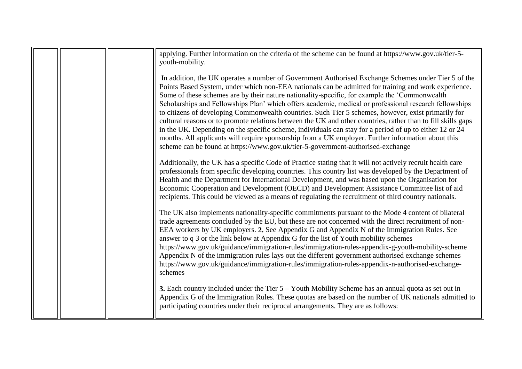| applying. Further information on the criteria of the scheme can be found at https://www.gov.uk/tier-5-<br>youth-mobility.                                                                                                                                                                                                                                                                                                                                                                                                                                                                                                                                                                                                                                                                                                                                                                                                                          |
|----------------------------------------------------------------------------------------------------------------------------------------------------------------------------------------------------------------------------------------------------------------------------------------------------------------------------------------------------------------------------------------------------------------------------------------------------------------------------------------------------------------------------------------------------------------------------------------------------------------------------------------------------------------------------------------------------------------------------------------------------------------------------------------------------------------------------------------------------------------------------------------------------------------------------------------------------|
| In addition, the UK operates a number of Government Authorised Exchange Schemes under Tier 5 of the<br>Points Based System, under which non-EEA nationals can be admitted for training and work experience.<br>Some of these schemes are by their nature nationality-specific, for example the 'Commonwealth'<br>Scholarships and Fellowships Plan' which offers academic, medical or professional research fellowships<br>to citizens of developing Commonwealth countries. Such Tier 5 schemes, however, exist primarily for<br>cultural reasons or to promote relations between the UK and other countries, rather than to fill skills gaps<br>in the UK. Depending on the specific scheme, individuals can stay for a period of up to either 12 or 24<br>months. All applicants will require sponsorship from a UK employer. Further information about this<br>scheme can be found at https://www.gov.uk/tier-5-government-authorised-exchange |
| Additionally, the UK has a specific Code of Practice stating that it will not actively recruit health care<br>professionals from specific developing countries. This country list was developed by the Department of<br>Health and the Department for International Development, and was based upon the Organisation for<br>Economic Cooperation and Development (OECD) and Development Assistance Committee list of aid<br>recipients. This could be viewed as a means of regulating the recruitment of third country nationals.                                                                                                                                                                                                                                                                                                                                                                                                                  |
| The UK also implements nationality-specific commitments pursuant to the Mode 4 content of bilateral<br>trade agreements concluded by the EU, but these are not concerned with the direct recruitment of non-<br>EEA workers by UK employers. 2. See Appendix G and Appendix N of the Immigration Rules. See<br>answer to q 3 or the link below at Appendix G for the list of Youth mobility schemes<br>https://www.gov.uk/guidance/immigration-rules/immigration-rules-appendix-g-youth-mobility-scheme<br>Appendix N of the immigration rules lays out the different government authorised exchange schemes<br>https://www.gov.uk/guidance/immigration-rules/immigration-rules-appendix-n-authorised-exchange-<br>schemes                                                                                                                                                                                                                         |
| <b>3.</b> Each country included under the Tier $5 -$ Youth Mobility Scheme has an annual quota as set out in<br>Appendix G of the Immigration Rules. These quotas are based on the number of UK nationals admitted to<br>participating countries under their reciprocal arrangements. They are as follows:                                                                                                                                                                                                                                                                                                                                                                                                                                                                                                                                                                                                                                         |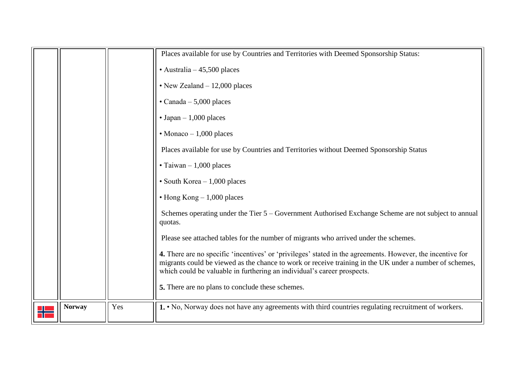<span id="page-18-0"></span>

|               |     | Places available for use by Countries and Territories with Deemed Sponsorship Status:                                                                                                                                                                                                            |
|---------------|-----|--------------------------------------------------------------------------------------------------------------------------------------------------------------------------------------------------------------------------------------------------------------------------------------------------|
|               |     | $\cdot$ Australia – 45,500 places                                                                                                                                                                                                                                                                |
|               |     | • New Zealand $-12,000$ places                                                                                                                                                                                                                                                                   |
|               |     | $\cdot$ Canada - 5,000 places                                                                                                                                                                                                                                                                    |
|               |     | $\cdot$ Japan – 1,000 places                                                                                                                                                                                                                                                                     |
|               |     | $\cdot$ Monaco - 1,000 places                                                                                                                                                                                                                                                                    |
|               |     | Places available for use by Countries and Territories without Deemed Sponsorship Status                                                                                                                                                                                                          |
|               |     | $\cdot$ Taiwan - 1,000 places                                                                                                                                                                                                                                                                    |
|               |     | • South Korea $-1,000$ places                                                                                                                                                                                                                                                                    |
|               |     | $\cdot$ Hong Kong $-1,000$ places                                                                                                                                                                                                                                                                |
|               |     | Schemes operating under the Tier 5 – Government Authorised Exchange Scheme are not subject to annual<br>quotas.                                                                                                                                                                                  |
|               |     | Please see attached tables for the number of migrants who arrived under the schemes.                                                                                                                                                                                                             |
|               |     | 4. There are no specific 'incentives' or 'privileges' stated in the agreements. However, the incentive for<br>migrants could be viewed as the chance to work or receive training in the UK under a number of schemes,<br>which could be valuable in furthering an individual's career prospects. |
|               |     | 5. There are no plans to conclude these schemes.                                                                                                                                                                                                                                                 |
| <b>Norway</b> | Yes | 1. • No, Norway does not have any agreements with third countries regulating recruitment of workers.                                                                                                                                                                                             |